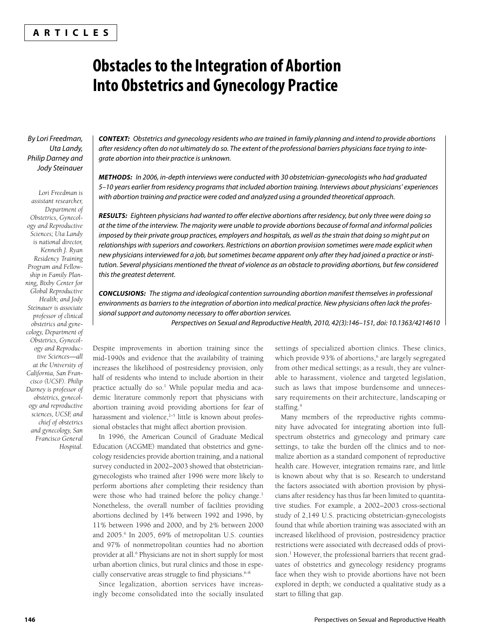# **ARTICLES**

# **Obstacles to the Integration of Abortion Into Obstetrics and Gynecology Practice**

# By Lori Freedman, Uta Landy, Philip Darney and Jody Steinauer

*Lori Freedman is assistant researcher, Department of Obstetrics, Gynecology and Reproductive Sciences; Uta Landy is national director, Kenneth J. Ryan Residency Training Program and Fellowship in Family Planning, Bixby Center for Global Reproductive Health; and Jody Steinauer is associate professor of clinical obstetrics and gynecology, Department of Obstetrics, Gynecology and Reproductive Sciences—all at the University of California, San Francisco (UCSF). Philip Darney is professor of obstetrics, gynecology and reproductive sciences, UCSF, and chief of obstetrics and gynecology, San Francisco General Hospital.*

*CONTEXT:* Obstetrics and gynecology residents who are trained in family planning and intend to provide abortions after residency often do not ultimately do so. The extent of the professional barriers physicians face trying to integrate abortion into their practice is unknown.

*METHODS:* In 2006, in-depth interviews were conducted with 30 obstetrician-gynecologists who had graduated 5–10 years earlier from residency programs that included abortion training. Interviews about physicians' experiences with abortion training and practice were coded and analyzed using a grounded theoretical approach.

**RESULTS:** Eighteen physicians had wanted to offer elective abortions after residency, but only three were doing so at the time of the interview. The majority were unable to provide abortions because of formal and informal policies imposed by their private group practices, employers and hospitals, as well as the strain that doing so might put on relationships with superiors and coworkers. Restrictions on abortion provision sometimes were made explicit when new physicians interviewed for a job, but sometimes became apparent only after they had joined a practice or institution. Several physicians mentioned the threat of violence as an obstacle to providing abortions, but few considered this the greatest deterrent.

*CONCLUSIONS:* The stigma and ideological contention surrounding abortion manifest themselves in professional environments as barriers to the integration of abortion into medical practice. New physicians often lack the professional support and autonomy necessary to offer abortion services.

Perspectives on Sexual and Reproductive Health, 2010, 42(3):146–151, doi: 10.1363/4214610

Despite improvements in abortion training since the mid-1990s and evidence that the availability of training increases the likelihood of postresidency provision, only half of residents who intend to include abortion in their practice actually do so.<sup>1</sup> While popular media and academic literature commonly report that physicians with abortion training avoid providing abortions for fear of harassment and violence, $2-5$  little is known about professional obstacles that might affect abortion provision.

In 1996, the American Council of Graduate Medical Education (ACGME) mandated that obstetrics and gynecology residencies provide abortion training, and a national survey conducted in 2002–2003 showed that obstetriciangynecologists who trained after 1996 were more likely to perform abortions after completing their residency than were those who had trained before the policy change.<sup>1</sup> Nonetheless, the overall number of facilities providing abortions declined by 14% between 1992 and 1996, by 11% between 1996 and 2000, and by 2% between 2000 and 2005.<sup>6</sup> In 2005, 69% of metropolitan U.S. counties and 97% of nonmetropolitan counties had no abortion provider at all.6 Physicians are not in short supply for most urban abortion clinics, but rural clinics and those in especially conservative areas struggle to find physicians. $6-8$ 

Since legalization, abortion services have increasingly become consolidated into the socially insulated settings of specialized abortion clinics. These clinics, which provide 93% of abortions,<sup>6</sup> are largely segregated from other medical settings; as a result, they are vulnerable to harassment, violence and targeted legislation, such as laws that impose burdensome and unnecessary requirements on their architecture, landscaping or staffing.<sup>9</sup>

Many members of the reproductive rights community have advocated for integrating abortion into fullspectrum obstetrics and gynecology and primary care settings, to take the burden off the clinics and to normalize abortion as a standard component of reproductive health care. However, integration remains rare, and little is known about why that is so. Research to understand the factors associated with abortion provision by physicians after residency has thus far been limited to quantitative studies. For example, a 2002–2003 cross-sectional study of 2,149 U.S. practicing obstetrician-gynecologists found that while abortion training was associated with an increased likelihood of provision, postresidency practice restrictions were associated with decreased odds of provision.<sup>1</sup> However, the professional barriers that recent graduates of obstetrics and gynecology residency programs face when they wish to provide abortions have not been explored in depth; we conducted a qualitative study as a start to filling that gap.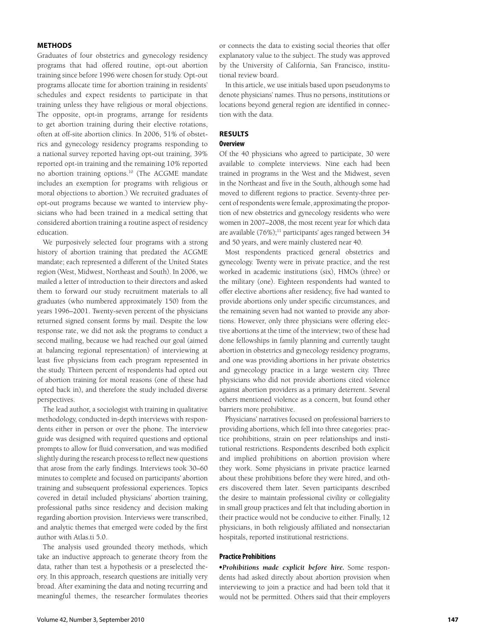# **METHODS**

Graduates of four obstetrics and gynecology residency programs that had offered routine, opt-out abortion training since before 1996 were chosen for study. Opt-out programs allocate time for abortion training in residents' schedules and expect residents to participate in that training unless they have religious or moral objections. The opposite, opt-in programs, arrange for residents to get abortion training during their elective rotations, often at off-site abortion clinics. In 2006, 51% of obstetrics and gynecology residency programs responding to a national survey reported having opt-out training, 39% reported opt-in training and the remaining 10% reported no abortion training options.10 (The ACGME mandate includes an exemption for programs with religious or moral objections to abortion.) We recruited graduates of opt-out programs because we wanted to interview physicians who had been trained in a medical setting that considered abortion training a routine aspect of residency education.

We purposively selected four programs with a strong history of abortion training that predated the ACGME mandate; each represented a different of the United States region (West, Midwest, Northeast and South). In 2006, we mailed a letter of introduction to their directors and asked them to forward our study recruitment materials to all graduates (who numbered approximately 150) from the years 1996–2001. Twenty-seven percent of the physicians returned signed consent forms by mail. Despite the low response rate, we did not ask the programs to conduct a second mailing, because we had reached our goal (aimed at balancing regional representation) of interviewing at least five physicians from each program represented in the study. Thirteen percent of respondents had opted out of abortion training for moral reasons (one of these had opted back in), and therefore the study included diverse perspectives.

The lead author, a sociologist with training in qualitative methodology, conducted in-depth interviews with respondents either in person or over the phone. The interview guide was designed with required questions and optional prompts to allow for fluid conversation, and was modified slightly during the research process to reflect new questions that arose from the early findings. Interviews took 30-60 minutes to complete and focused on participants' abortion training and subsequent professional experiences. Topics covered in detail included physicians' abortion training, professional paths since residency and decision making regarding abortion provision. Interviews were transcribed, and analytic themes that emerged were coded by the first author with Atlas.ti 5.0.

The analysis used grounded theory methods, which take an inductive approach to generate theory from the data, rather than test a hypothesis or a preselected theory. In this approach, research questions are initially very broad. After examining the data and noting recurring and meaningful themes, the researcher formulates theories

or connects the data to existing social theories that offer explanatory value to the subject. The study was approved by the University of California, San Francisco, institutional review board.

In this article, we use initials based upon pseudonyms to denote physicians' names. Thus no persons, institutions or locations beyond general region are identified in connection with the data.

## **RESULTS Overview**

Of the 40 physicians who agreed to participate, 30 were available to complete interviews. Nine each had been trained in programs in the West and the Midwest, seven in the Northeast and five in the South, although some had moved to different regions to practice. Seventy-three percent of respondents were female, approximating the proportion of new obstetrics and gynecology residents who were women in 2007–2008, the most recent year for which data are available (76%);<sup>11</sup> participants' ages ranged between 34 and 50 years, and were mainly clustered near 40.

Most respondents practiced general obstetrics and gynecology. Twenty were in private practice, and the rest worked in academic institutions (six), HMOs (three) or the military (one). Eighteen respondents had wanted to offer elective abortions after residency, five had wanted to provide abortions only under specific circumstances, and the remaining seven had not wanted to provide any abortions. However, only three physicians were offering elective abortions at the time of the interview; two of these had done fellowships in family planning and currently taught abortion in obstetrics and gynecology residency programs, and one was providing abortions in her private obstetrics and gynecology practice in a large western city. Three physicians who did not provide abortions cited violence against abortion providers as a primary deterrent. Several others mentioned violence as a concern, but found other barriers more prohibitive.

Physicians' narratives focused on professional barriers to providing abortions, which fell into three categories: practice prohibitions, strain on peer relationships and institutional restrictions. Respondents described both explicit and implied prohibitions on abortion provision where they work. Some physicians in private practice learned about these prohibitions before they were hired, and others discovered them later. Seven participants described the desire to maintain professional civility or collegiality in small group practices and felt that including abortion in their practice would not be conducive to either. Finally, 12 physicians, in both religiously affiliated and nonsectarian hospitals, reported institutional restrictions.

## **Practice Prohibitions**

-*Prohibitions made explicit before hire.* Some respondents had asked directly about abortion provision when interviewing to join a practice and had been told that it would not be permitted. Others said that their employers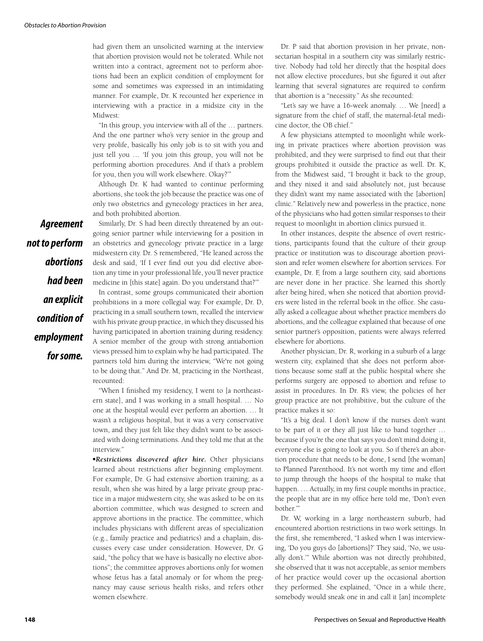had given them an unsolicited warning at the interview that abortion provision would not be tolerated. While not written into a contract, agreement not to perform abortions had been an explicit condition of employment for some and sometimes was expressed in an intimidating manner. For example, Dr. K recounted her experience in interviewing with a practice in a midsize city in the Midwest:

"In this group, you interview with all of the … partners. And the one partner who's very senior in the group and very prolife, basically his only job is to sit with you and just tell you … 'If you join this group, you will not be performing abortion procedures. And if that's a problem for you, then you will work elsewhere. Okay?'"

Although Dr. K had wanted to continue performing abortions, she took the job because the practice was one of only two obstetrics and gynecology practices in her area, and both prohibited abortion.

Similarly, Dr. S had been directly threatened by an outgoing senior partner while interviewing for a position in an obstetrics and gynecology private practice in a large midwestern city. Dr. S remembered, "He leaned across the desk and said, 'If I ever find out you did elective abortion any time in your professional life, you'll never practice medicine in [this state] again. Do you understand that?'"

In contrast, some groups communicated their abortion prohibitions in a more collegial way. For example, Dr. D, practicing in a small southern town, recalled the interview with his private group practice, in which they discussed his having participated in abortion training during residency. A senior member of the group with strong antiabortion views pressed him to explain why he had participated. The partners told him during the interview, "We're not going to be doing that." And Dr. M, practicing in the Northeast, recounted:

"When I finished my residency, I went to [a northeastern state], and I was working in a small hospital. … No one at the hospital would ever perform an abortion. … It wasn't a religious hospital, but it was a very conservative town, and they just felt like they didn't want to be associated with doing terminations. And they told me that at the interview."

-*Restrictions discovered after hire.* Other physicians learned about restrictions after beginning employment. For example, Dr. G had extensive abortion training; as a result, when she was hired by a large private group practice in a major midwestern city, she was asked to be on its abortion committee, which was designed to screen and approve abortions in the practice. The committee, which includes physicians with different areas of specialization (e.g., family practice and pediatrics) and a chaplain, discusses every case under consideration. However, Dr. G said, "the policy that we have is basically no elective abortions"; the committee approves abortions only for women whose fetus has a fatal anomaly or for whom the pregnancy may cause serious health risks, and refers other women elsewhere.

Dr. P said that abortion provision in her private, nonsectarian hospital in a southern city was similarly restrictive. Nobody had told her directly that the hospital does not allow elective procedures, but she figured it out after learning that several signatures are required to confirm that abortion is a "necessity." As she recounted:

"Let's say we have a 16-week anomaly. … We [need] a signature from the chief of staff, the maternal-fetal medicine doctor, the OB chief."

A few physicians attempted to moonlight while working in private practices where abortion provision was prohibited, and they were surprised to find out that their groups prohibited it outside the practice as well. Dr. K, from the Midwest said, "I brought it back to the group, and they nixed it and said absolutely not, just because they didn't want my name associated with the [abortion] clinic." Relatively new and powerless in the practice, none of the physicians who had gotten similar responses to their request to moonlight in abortion clinics pursued it.

In other instances, despite the absence of overt restrictions, participants found that the culture of their group practice or institution was to discourage abortion provision and refer women elsewhere for abortion services. For example, Dr. F, from a large southern city, said abortions are never done in her practice. She learned this shortly after being hired, when she noticed that abortion providers were listed in the referral book in the office. She casually asked a colleague about whether practice members do abortions, and the colleague explained that because of one senior partner's opposition, patients were always referred elsewhere for abortions.

Another physician, Dr. R, working in a suburb of a large western city, explained that she does not perform abortions because some staff at the public hospital where she performs surgery are opposed to abortion and refuse to assist in procedures. In Dr. R's view, the policies of her group practice are not prohibitive, but the culture of the practice makes it so:

"It's a big deal. I don't know if the nurses don't want to be part of it or they all just like to band together … because if you're the one that says you don't mind doing it, everyone else is going to look at you. So if there's an abortion procedure that needs to be done, I send [the woman] to Planned Parenthood. It's not worth my time and effort to jump through the hoops of the hospital to make that happen. ... Actually, in my first couple months in practice, the people that are in my office here told me, 'Don't even bother.'"

Dr. W, working in a large northeastern suburb, had encountered abortion restrictions in two work settings. In the first, she remembered, "I asked when I was interviewing, 'Do you guys do [abortions]?' They said, 'No, we usually don't.'" While abortion was not directly prohibited, she observed that it was not acceptable, as senior members of her practice would cover up the occasional abortion they performed. She explained, "Once in a while there, somebody would sneak one in and call it [an] incomplete

*Agreement not to perform abortions had been an explicit condition of employment for some.*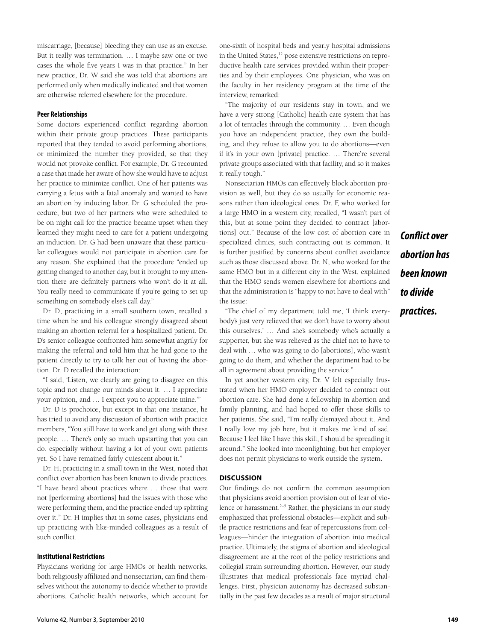miscarriage, [because] bleeding they can use as an excuse. But it really was termination. … I maybe saw one or two cases the whole five years I was in that practice." In her new practice, Dr. W said she was told that abortions are performed only when medically indicated and that women are otherwise referred elsewhere for the procedure.

# **Peer Relationships**

Some doctors experienced conflict regarding abortion within their private group practices. These participants reported that they tended to avoid performing abortions, or minimized the number they provided, so that they would not provoke conflict. For example, Dr. G recounted a case that made her aware of how she would have to adjust her practice to minimize conflict. One of her patients was carrying a fetus with a fatal anomaly and wanted to have an abortion by inducing labor. Dr. G scheduled the procedure, but two of her partners who were scheduled to be on night call for the practice became upset when they learned they might need to care for a patient undergoing an induction. Dr. G had been unaware that these particular colleagues would not participate in abortion care for any reason. She explained that the procedure "ended up getting changed to another day, but it brought to my attention there are definitely partners who won't do it at all. You really need to communicate if you're going to set up something on somebody else's call day."

Dr. D, practicing in a small southern town, recalled a time when he and his colleague strongly disagreed about making an abortion referral for a hospitalized patient. Dr. D's senior colleague confronted him somewhat angrily for making the referral and told him that he had gone to the patient directly to try to talk her out of having the abortion. Dr. D recalled the interaction:

"I said, 'Listen, we clearly are going to disagree on this topic and not change our minds about it. … I appreciate your opinion, and … I expect you to appreciate mine.'"

Dr. D is prochoice, but except in that one instance, he has tried to avoid any discussion of abortion with practice members, "You still have to work and get along with these people. … There's only so much upstarting that you can do, especially without having a lot of your own patients yet. So I have remained fairly quiescent about it."

Dr. H, practicing in a small town in the West, noted that conflict over abortion has been known to divide practices. "I have heard about practices where … those that were not [performing abortions] had the issues with those who were performing them, and the practice ended up splitting over it." Dr. H implies that in some cases, physicians end up practicing with like-minded colleagues as a result of such conflict.

## **Institutional Restrictions**

Physicians working for large HMOs or health networks, both religiously affiliated and nonsectarian, can find themselves without the autonomy to decide whether to provide abortions. Catholic health networks, which account for have a very strong [Catholic] health care system that has a lot of tentacles through the community. … Even though you have an independent practice, they own the building, and they refuse to allow you to do abortions—even if it's in your own [private] practice. … There're several private groups associated with that facility, and so it makes it really tough."

one-sixth of hospital beds and yearly hospital admissions in the United States,<sup>12</sup> pose extensive restrictions on reproductive health care services provided within their proper-

Nonsectarian HMOs can effectively block abortion provision as well, but they do so usually for economic reasons rather than ideological ones. Dr. F, who worked for a large HMO in a western city, recalled, "I wasn't part of this, but at some point they decided to contract [abortions] out." Because of the low cost of abortion care in specialized clinics, such contracting out is common. It is further justified by concerns about conflict avoidance such as those discussed above. Dr. N, who worked for the same HMO but in a different city in the West, explained that the HMO sends women elsewhere for abortions and that the administration is "happy to not have to deal with" the issue:

*Conflict over abortion has been known to divide practices.*

"The chief of my department told me, 'I think everybody's just very relieved that we don't have to worry about this ourselves.' … And she's somebody who's actually a supporter, but she was relieved as the chief not to have to deal with … who was going to do [abortions], who wasn't going to do them, and whether the department had to be all in agreement about providing the service."

In yet another western city, Dr. V felt especially frustrated when her HMO employer decided to contract out abortion care. She had done a fellowship in abortion and family planning, and had hoped to offer those skills to her patients. She said, "I'm really dismayed about it. And I really love my job here, but it makes me kind of sad. Because I feel like I have this skill, I should be spreading it around." She looked into moonlighting, but her employer does not permit physicians to work outside the system.

### **DISCUSSION**

Our findings do not confirm the common assumption that physicians avoid abortion provision out of fear of violence or harassment.<sup>2–5</sup> Rather, the physicians in our study emphasized that professional obstacles—explicit and subtle practice restrictions and fear of repercussions from colleagues—hinder the integration of abortion into medical practice. Ultimately, the stigma of abortion and ideological disagreement are at the root of the policy restrictions and collegial strain surrounding abortion. However, our study illustrates that medical professionals face myriad challenges. First, physician autonomy has decreased substantially in the past few decades as a result of major structural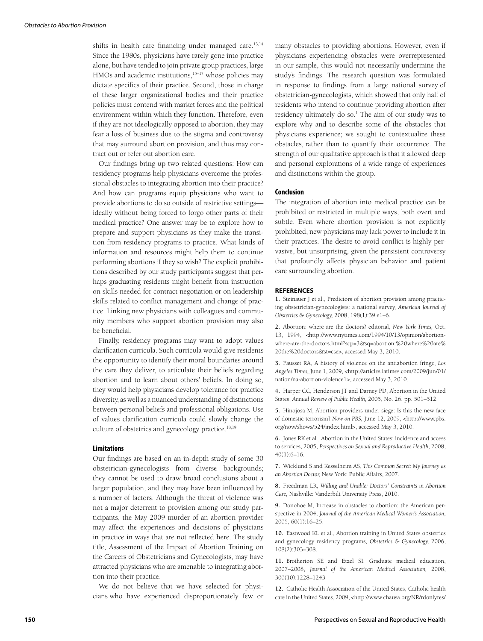shifts in health care financing under managed care.<sup>13,14</sup> Since the 1980s, physicians have rarely gone into practice alone, but have tended to join private group practices, large HMOs and academic institutions,<sup>15-17</sup> whose policies may dictate specifics of their practice. Second, those in charge of these larger organizational bodies and their practice policies must contend with market forces and the political environment within which they function. Therefore, even if they are not ideologically opposed to abortion, they may fear a loss of business due to the stigma and controversy that may surround abortion provision, and thus may contract out or refer out abortion care.

Our findings bring up two related questions: How can residency programs help physicians overcome the professional obstacles to integrating abortion into their practice? And how can programs equip physicians who want to provide abortions to do so outside of restrictive settings ideally without being forced to forgo other parts of their medical practice? One answer may be to explore how to prepare and support physicians as they make the transition from residency programs to practice. What kinds of information and resources might help them to continue performing abortions if they so wish? The explicit prohibitions described by our study participants suggest that perhaps graduating residents might benefit from instruction on skills needed for contract negotiation or on leadership skills related to conflict management and change of practice. Linking new physicians with colleagues and community members who support abortion provision may also be beneficial.

Finally, residency programs may want to adopt values clarification curricula. Such curricula would give residents the opportunity to identify their moral boundaries around the care they deliver, to articulate their beliefs regarding abortion and to learn about others' beliefs. In doing so, they would help physicians develop tolerance for practice diversity, as well as a nuanced understanding of distinctions between personal beliefs and professional obligations. Use of values clarification curricula could slowly change the culture of obstetrics and gynecology practice.<sup>18,19</sup>

#### **Limitations**

Our findings are based on an in-depth study of some 30 obstetrician-gynecologists from diverse backgrounds; they cannot be used to draw broad conclusions about a larger population, and they may have been influenced by a number of factors. Although the threat of violence was not a major deterrent to provision among our study participants, the May 2009 murder of an abortion provider may affect the experiences and decisions of physicians in practice in ways that are not reflected here. The study title, Assessment of the Impact of Abortion Training on the Careers of Obstetricians and Gynecologists, may have attracted physicians who are amenable to integrating abortion into their practice.

We do not believe that we have selected for physicians who have experienced disproportionately few or many obstacles to providing abortions. However, even if physicians experiencing obstacles were overrepresented in our sample, this would not necessarily undermine the study's findings. The research question was formulated in response to findings from a large national survey of obstetrician-gynecologists, which showed that only half of residents who intend to continue providing abortion after residency ultimately do so.<sup>1</sup> The aim of our study was to explore why and to describe some of the obstacles that physicians experience; we sought to contextualize these obstacles, rather than to quantify their occurrence. The strength of our qualitative approach is that it allowed deep and personal explorations of a wide range of experiences and distinctions within the group.

### **Conclusion**

The integration of abortion into medical practice can be prohibited or restricted in multiple ways, both overt and subtle. Even where abortion provision is not explicitly prohibited, new physicians may lack power to include it in their practices. The desire to avoid conflict is highly pervasive, but unsurprising, given the persistent controversy that profoundly affects physician behavior and patient care surrounding abortion.

#### **REFERENCES**

**1.** Steinauer J et al., Predictors of abortion provision among practicing obstetrician-gynecologists: a national survey, *American Journal of Obstetrics & Gynecology,* 2008, 198(1):39.e1–6.

**2.** Abortion: where are the doctors? editorial, *New York Times,* Oct. 13, 1994, <http://www.nytimes.com/1994/10/13/opinion/abortionwhere-are-the-doctors.html?scp=3&sq=abortion:%20where%20are% 20the%20doctors&st=cse>, accessed May 3, 2010.

**3.** Fausset RA, A history of violence on the antiabortion fringe, *Los Angeles Times,* June 1, 2009, <http://articles.latimes.com/2009/jun/01/ nation/na-abortion-violence1>, accessed May 3, 2010.

**4.** Harper CC, Henderson JT and Darney PD, Abortion in the United States, *Annual Review of Public Health,* 2005, No. 26, pp. 501–512.

**5.** Hinojosa M, Abortion providers under siege: Is this the new face of domestic terrorism? *Now on PBS,* June 12, 2009, <http://www.pbs. org/now/shows/524/index.html>, accessed May 3, 2010.

**6.** Jones RK et al., Abortion in the United States: incidence and access to services, 2005, *Perspectives on Sexual and Reproductive Health,* 2008, 40(1):6–16.

**7.** Wicklund S and Kesselheim AS, *This Common Secret: My Journey as an Abortion Doctor,* New York: Public Affairs, 2007.

**8.** Freedman LR, *Willing and Unable: Doctors' Constraints in Abortion Care,* Nashville: Vanderbilt University Press, 2010.

**9.** Donohoe M, Increase in obstacles to abortion: the American perspective in 2004, *Journal of the American Medical Women's Association,* 2005, 60(1):16–25.

**10.** Eastwood KL et al., Abortion training in United States obstetrics and gynecology residency programs, *Obstetrics & Gynecology,* 2006, 108(2):303–308.

**11.** Brotherton SE and Etzel SI, Graduate medical education, 2007–2008, *Journal of the American Medical Association,* 2008, 300(10):1228–1243.

**12.** Catholic Health Association of the United States, Catholic health care in the United States, 2009, <http://www.chausa.org/NR/rdonlyres/